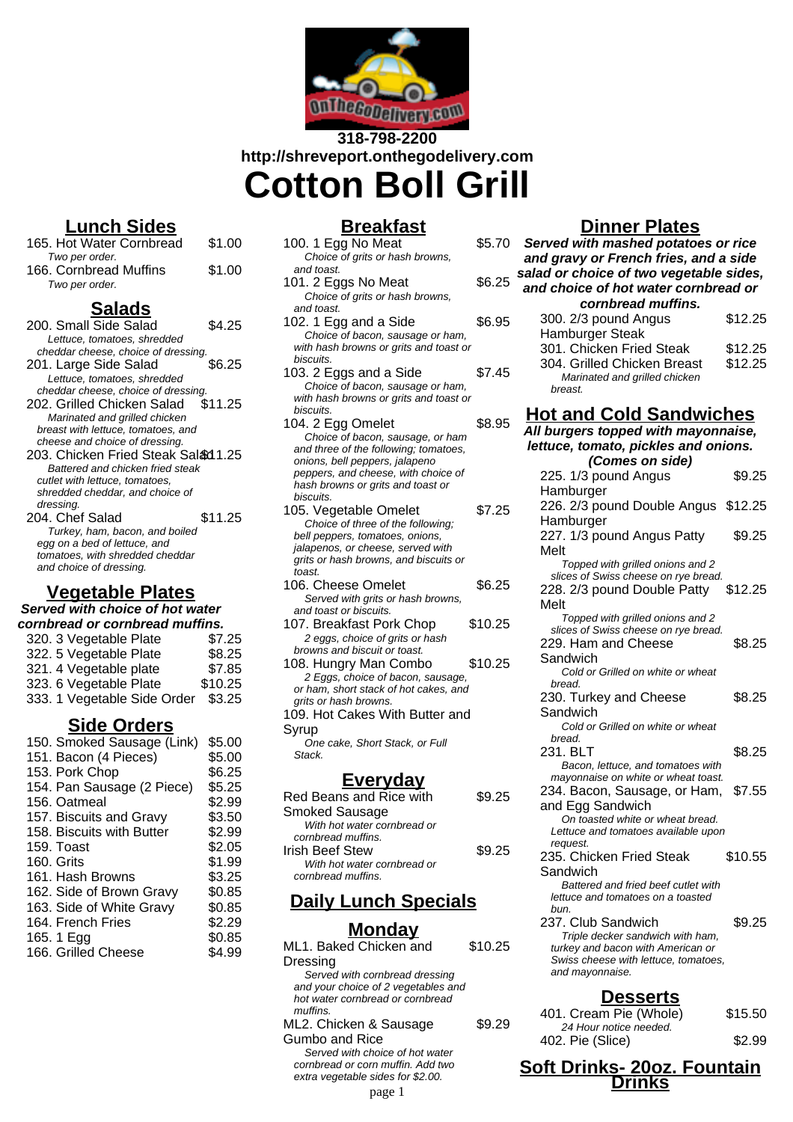

**318-798-2200 http://shreveport.onthegodelivery.com Cotton Boll Grill**

# **Lunch Sides**

165. Hot Water Cornbread \$1.00 Two per order. 166. Cornbread Muffins \$1.00 Two per order.

## **Salads**

| 200. Small Side Salad               | S4 25   |
|-------------------------------------|---------|
| Lettuce, tomatoes, shredded         |         |
| cheddar cheese, choice of dressing. |         |
| 201. Large Side Salad               | \$6.25  |
| Lettuce, tomatoes, shredded         |         |
| cheddar cheese, choice of dressing. |         |
| 202. Grilled Chicken Salad          | \$11.25 |
| Marinated and grilled chicken       |         |
| breast with lettuce, tomatoes, and  |         |
| cheese and choice of dressing.      |         |
| 203. Chicken Fried Steak Sal&d 1.25 |         |
| Battered and chicken fried steak    |         |
| cutlet with lettuce, tomatoes,      |         |
| shredded cheddar, and choice of     |         |
| dressing.                           |         |
| 204. Chef Salad                     | \$11.25 |
| Turkey, ham, bacon, and boiled      |         |
| egg on a bed of lettuce, and        |         |
| tomatoes, with shredded cheddar     |         |
| and choice of dressing.             |         |

# **Vegetable Plates**

# **Served with choice of hot water**

| cornbread or cornbread muffins. |         |  |  |  |
|---------------------------------|---------|--|--|--|
| 320. 3 Vegetable Plate          | \$7.25  |  |  |  |
| 322. 5 Vegetable Plate          | \$8.25  |  |  |  |
| 321. 4 Vegetable plate          | \$7.85  |  |  |  |
| 323. 6 Vegetable Plate          | \$10.25 |  |  |  |
| 333. 1 Vegetable Side Order     | \$3.25  |  |  |  |
|                                 |         |  |  |  |

### **Side Orders**

| 150. Smoked Sausage (Link) | \$5.00 |
|----------------------------|--------|
| 151. Bacon (4 Pieces)      | \$5.00 |
| 153. Pork Chop             | \$6.25 |
| 154. Pan Sausage (2 Piece) | \$5.25 |
| 156. Oatmeal               | \$2.99 |
| 157. Biscuits and Gravy    | \$3.50 |
| 158. Biscuits with Butter  | \$2.99 |
| 159. Toast                 | \$2.05 |
| 160. Grits                 | \$1.99 |
| 161. Hash Browns           | \$3.25 |
| 162. Side of Brown Gravy   | \$0.85 |
| 163. Side of White Gravy   | \$0.85 |
| 164. French Fries          | \$2.29 |
| 165.1 Egg                  | \$0.85 |
| 166. Grilled Cheese        | \$4.99 |
|                            |        |

#### **Breakfast** 100. 1 Egg No Meat \$5.70 Choice of grits or hash browns, and toast. 101. 2 Eggs No Meat \$6.25 Choice of grits or hash browns, and toast. 102. 1 Egg and a Side \$6.95 Choice of bacon, sausage or ham, with hash browns or grits and toast or biscuits. 103. 2 Eggs and a Side \$7.45 Choice of bacon, sausage or ham, with hash browns or grits and toast or biscuits. 104. 2 Egg Omelet \$8.95 Choice of bacon, sausage, or ham and three of the following; tomatoes, onions, bell peppers, jalapeno peppers, and cheese, with choice of hash browns or grits and toast or biscuits. 105. Vegetable Omelet \$7.25 Choice of three of the following; bell peppers, tomatoes, onions, jalapenos, or cheese, served with grits or hash browns, and biscuits or toast. 106. Cheese Omelet \$6.25 Served with grits or hash browns. and toast or biscuits. 107. Breakfast Pork Chop \$10.25 2 eggs, choice of grits or hash browns and biscuit or toast. 108. Hungry Man Combo \$10.25

2 Eggs, choice of bacon, sausage, or ham, short stack of hot cakes, and grits or hash browns. 109. Hot Cakes With Butter and Syrup

One cake, Short Stack, or Full Stack.

## **Everyday**

| Red Beans and Rice with     | \$9.25 |
|-----------------------------|--------|
| <b>Smoked Sausage</b>       |        |
| With hot water cornbread or |        |
| cornbread muffins.          |        |
| <b>Irish Beef Stew</b>      | \$9.25 |
| With hot water cornbread or |        |
| cornbread muffins.          |        |

# **Daily Lunch Specials**

### **Monday**

| ML1. Baked Chicken and              | \$10.25 |
|-------------------------------------|---------|
| Dressing                            |         |
| Served with cornbread dressing      |         |
| and your choice of 2 vegetables and |         |
| hot water cornbread or cornbread    |         |
| muffins.                            |         |
| ML2. Chicken & Sausage              | \$9.29  |
| Gumbo and Rice                      |         |
| Served with choice of hot water     |         |
| cornbread or corn muffin. Add two   |         |
| extra vegetable sides for \$2.00.   |         |
| . 1                                 |         |

# **Dinner Plates**

| <u>וווופו ומנכס</u>                       |         |  |  |  |
|-------------------------------------------|---------|--|--|--|
| Served with mashed potatoes or rice       |         |  |  |  |
| and gravy or French fries, and a side     |         |  |  |  |
| salad or choice of two vegetable sides,   |         |  |  |  |
| and choice of hot water cornbread or      |         |  |  |  |
| cornbread muffins.                        |         |  |  |  |
|                                           | \$12.25 |  |  |  |
| 300. 2/3 pound Angus                      |         |  |  |  |
| Hamburger Steak                           |         |  |  |  |
| 301. Chicken Fried Steak                  | \$12.25 |  |  |  |
| 304. Grilled Chicken Breast               | \$12.25 |  |  |  |
| Marinated and grilled chicken             |         |  |  |  |
| breast.                                   |         |  |  |  |
|                                           |         |  |  |  |
| <b>Hot and Cold Sandwiches</b>            |         |  |  |  |
| All burgers topped with mayonnaise,       |         |  |  |  |
| lettuce, tomato, pickles and onions.      |         |  |  |  |
| (Comes on side)                           |         |  |  |  |
| 225. 1/3 pound Angus                      | \$9.25  |  |  |  |
|                                           |         |  |  |  |
| Hamburger                                 |         |  |  |  |
| 226. 2/3 pound Double Angus \$12.25       |         |  |  |  |
| Hamburger                                 |         |  |  |  |
| 227. 1/3 pound Angus Patty                | \$9.25  |  |  |  |
| Melt                                      |         |  |  |  |
| Topped with grilled onions and 2          |         |  |  |  |
| slices of Swiss cheese on rye bread.      |         |  |  |  |
| 228. 2/3 pound Double Patty               | \$12.25 |  |  |  |
| Melt                                      |         |  |  |  |
| Topped with grilled onions and 2          |         |  |  |  |
| slices of Swiss cheese on rye bread.      |         |  |  |  |
| 229. Ham and Cheese                       | \$8.25  |  |  |  |
| Sandwich                                  |         |  |  |  |
| Cold or Grilled on white or wheat         |         |  |  |  |
| bread.                                    |         |  |  |  |
| 230. Turkey and Cheese                    | \$8.25  |  |  |  |
| Sandwich                                  |         |  |  |  |
| Cold or Grilled on white or wheat         |         |  |  |  |
| bread.                                    |         |  |  |  |
| 231. BLT                                  | \$8.25  |  |  |  |
| Bacon, lettuce, and tomatoes with         |         |  |  |  |
| mayonnaise on white or wheat toast.       |         |  |  |  |
| 234. Bacon, Sausage, or Ham,              | \$7.55  |  |  |  |
| and Egg Sandwich                          |         |  |  |  |
| On toasted white or wheat bread.          |         |  |  |  |
| Lettuce and tomatoes available upon       |         |  |  |  |
| request.<br>235. Chicken Fried Steak      |         |  |  |  |
|                                           | \$10.55 |  |  |  |
| Sandwich                                  |         |  |  |  |
| Battered and fried beef cutlet with       |         |  |  |  |
| lettuce and tomatoes on a toasted<br>bun. |         |  |  |  |
| 237. Club Sandwich                        | \$9.25  |  |  |  |
| Triple decker sandwich with ham,          |         |  |  |  |
| turkey and bacon with American or         |         |  |  |  |
| Swiss cheese with lettuce, tomatoes,      |         |  |  |  |
| and mayonnaise.                           |         |  |  |  |
|                                           |         |  |  |  |
| Desserts                                  |         |  |  |  |
| 401. Cream Pie (Whole)                    | \$15.50 |  |  |  |
| 24 Hour notice needed.                    |         |  |  |  |

# **Soft Drinks- 20oz. Fountain** sides for \$2.00.<br>page 1

402. Pie (Slice) \$2.99